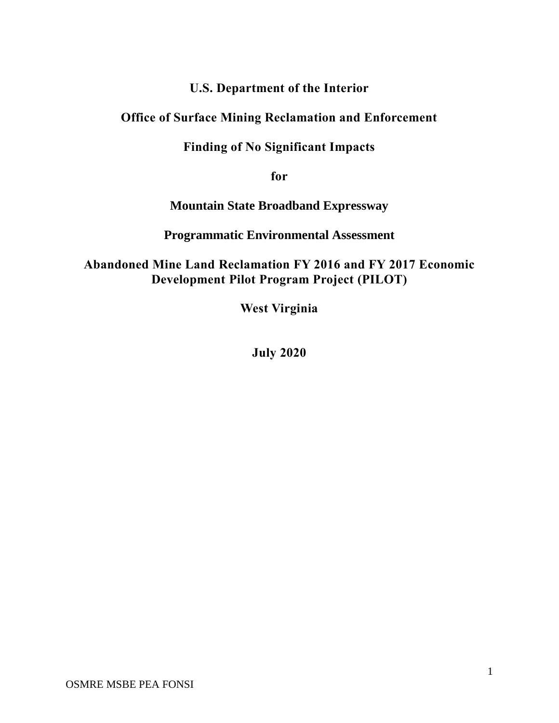# **U.S. Department of the Interior**

# **Office of Surface Mining Reclamation and Enforcement**

# **Finding of No Significant Impacts**

**for**

**Mountain State Broadband Expressway**

**Programmatic Environmental Assessment**

**Abandoned Mine Land Reclamation FY 2016 and FY 2017 Economic Development Pilot Program Project (PILOT)**

**West Virginia**

**July 2020**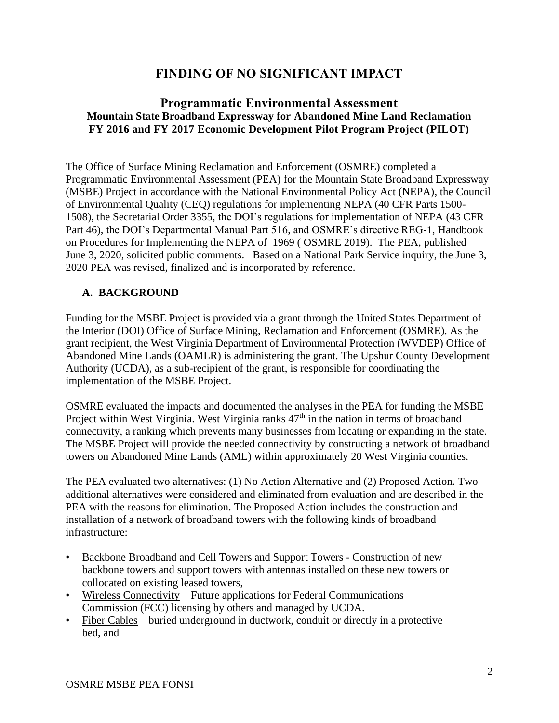# **FINDING OF NO SIGNIFICANT IMPACT**

## **Programmatic Environmental Assessment Mountain State Broadband Expressway for Abandoned Mine Land Reclamation FY 2016 and FY 2017 Economic Development Pilot Program Project (PILOT)**

The Office of Surface Mining Reclamation and Enforcement (OSMRE) completed a Programmatic Environmental Assessment (PEA) for the Mountain State Broadband Expressway (MSBE) Project in accordance with the National Environmental Policy Act (NEPA), the Council of Environmental Quality (CEQ) regulations for implementing NEPA (40 CFR Parts 1500- 1508), the Secretarial Order 3355, the DOI's regulations for implementation of NEPA (43 CFR Part 46), the DOI's Departmental Manual Part 516, and OSMRE's directive REG-1, Handbook on Procedures for Implementing the NEPA of 1969 ( OSMRE 2019). The PEA, published June 3, 2020, solicited public comments. Based on a National Park Service inquiry, the June 3, 2020 PEA was revised, finalized and is incorporated by reference.

#### **A. BACKGROUND**

Funding for the MSBE Project is provided via a grant through the United States Department of the Interior (DOI) Office of Surface Mining, Reclamation and Enforcement (OSMRE). As the grant recipient, the West Virginia Department of Environmental Protection (WVDEP) Office of Abandoned Mine Lands (OAMLR) is administering the grant. The Upshur County Development Authority (UCDA), as a sub-recipient of the grant, is responsible for coordinating the implementation of the MSBE Project.

OSMRE evaluated the impacts and documented the analyses in the PEA for funding the MSBE Project within West Virginia. West Virginia ranks  $47<sup>th</sup>$  in the nation in terms of broadband connectivity, a ranking which prevents many businesses from locating or expanding in the state. The MSBE Project will provide the needed connectivity by constructing a network of broadband towers on Abandoned Mine Lands (AML) within approximately 20 West Virginia counties.

The PEA evaluated two alternatives: (1) No Action Alternative and (2) Proposed Action. Two additional alternatives were considered and eliminated from evaluation and are described in the PEA with the reasons for elimination. The Proposed Action includes the construction and installation of a network of broadband towers with the following kinds of broadband infrastructure:

- Backbone Broadband and Cell Towers and Support Towers Construction of new backbone towers and support towers with antennas installed on these new towers or collocated on existing leased towers,
- Wireless Connectivity Future applications for Federal Communications Commission (FCC) licensing by others and managed by UCDA.
- Fiber Cables buried underground in ductwork, conduit or directly in a protective bed, and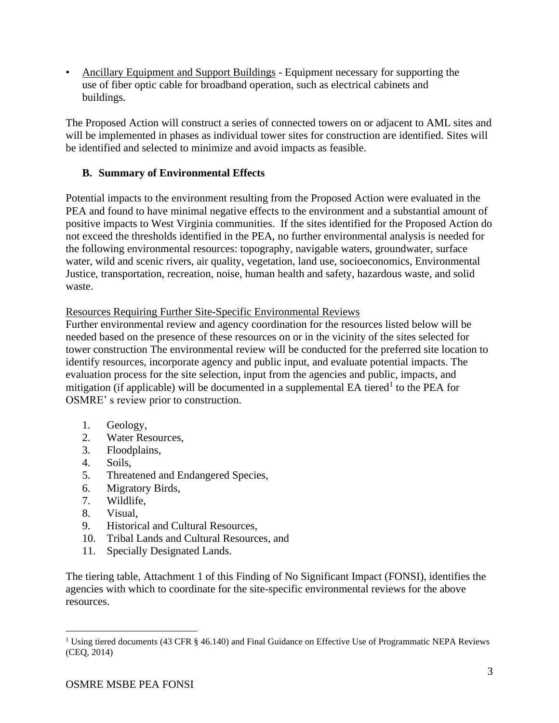• Ancillary Equipment and Support Buildings - Equipment necessary for supporting the use of fiber optic cable for broadband operation, such as electrical cabinets and buildings.

The Proposed Action will construct a series of connected towers on or adjacent to AML sites and will be implemented in phases as individual tower sites for construction are identified. Sites will be identified and selected to minimize and avoid impacts as feasible.

### **B. Summary of Environmental Effects**

Potential impacts to the environment resulting from the Proposed Action were evaluated in the PEA and found to have minimal negative effects to the environment and a substantial amount of positive impacts to West Virginia communities. If the sites identified for the Proposed Action do not exceed the thresholds identified in the PEA, no further environmental analysis is needed for the following environmental resources: topography, navigable waters, groundwater, surface water, wild and scenic rivers, air quality, vegetation, land use, socioeconomics, Environmental Justice, transportation, recreation, noise, human health and safety, hazardous waste, and solid waste.

#### Resources Requiring Further Site-Specific Environmental Reviews

Further environmental review and agency coordination for the resources listed below will be needed based on the presence of these resources on or in the vicinity of the sites selected for tower construction The environmental review will be conducted for the preferred site location to identify resources, incorporate agency and public input, and evaluate potential impacts. The evaluation process for the site selection, input from the agencies and public, impacts, and mitigation (if applicable) will be documented in a supplemental EA tiered<sup>1</sup> to the PEA for OSMRE' s review prior to construction.

- 1. Geology,
- 2. Water Resources,
- 3. Floodplains,
- 4. Soils,
- 5. Threatened and Endangered Species,
- 6. Migratory Birds,
- 7. Wildlife,
- 8. Visual,
- 9. Historical and Cultural Resources,
- 10. Tribal Lands and Cultural Resources, and
- 11. Specially Designated Lands.

The tiering table, Attachment 1 of this Finding of No Significant Impact (FONSI), identifies the agencies with which to coordinate for the site-specific environmental reviews for the above resources.

<sup>&</sup>lt;sup>1</sup> Using tiered documents (43 CFR § 46.140) and Final Guidance on Effective Use of Programmatic NEPA Reviews (CEQ, 2014)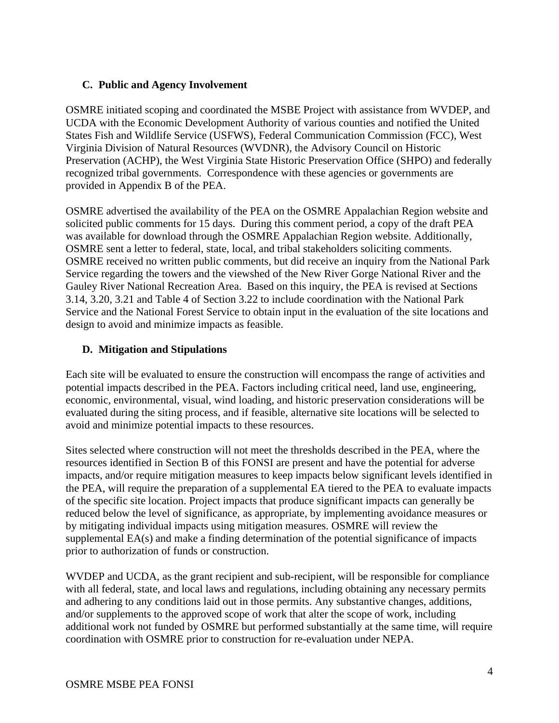### **C. Public and Agency Involvement**

OSMRE initiated scoping and coordinated the MSBE Project with assistance from WVDEP, and UCDA with the Economic Development Authority of various counties and notified the United States Fish and Wildlife Service (USFWS), Federal Communication Commission (FCC), West Virginia Division of Natural Resources (WVDNR), the Advisory Council on Historic Preservation (ACHP), the West Virginia State Historic Preservation Office (SHPO) and federally recognized tribal governments. Correspondence with these agencies or governments are provided in Appendix B of the PEA.

OSMRE advertised the availability of the PEA on the OSMRE Appalachian Region website and solicited public comments for 15 days. During this comment period, a copy of the draft PEA was available for download through the OSMRE Appalachian Region website. Additionally, OSMRE sent a letter to federal, state, local, and tribal stakeholders soliciting comments. OSMRE received no written public comments, but did receive an inquiry from the National Park Service regarding the towers and the viewshed of the New River Gorge National River and the Gauley River National Recreation Area. Based on this inquiry, the PEA is revised at Sections 3.14, 3.20, 3.21 and Table 4 of Section 3.22 to include coordination with the National Park Service and the National Forest Service to obtain input in the evaluation of the site locations and design to avoid and minimize impacts as feasible.

## **D. Mitigation and Stipulations**

Each site will be evaluated to ensure the construction will encompass the range of activities and potential impacts described in the PEA. Factors including critical need, land use, engineering, economic, environmental, visual, wind loading, and historic preservation considerations will be evaluated during the siting process, and if feasible, alternative site locations will be selected to avoid and minimize potential impacts to these resources.

Sites selected where construction will not meet the thresholds described in the PEA, where the resources identified in Section B of this FONSI are present and have the potential for adverse impacts, and/or require mitigation measures to keep impacts below significant levels identified in the PEA, will require the preparation of a supplemental EA tiered to the PEA to evaluate impacts of the specific site location. Project impacts that produce significant impacts can generally be reduced below the level of significance, as appropriate, by implementing avoidance measures or by mitigating individual impacts using mitigation measures. OSMRE will review the supplemental EA(s) and make a finding determination of the potential significance of impacts prior to authorization of funds or construction.

WVDEP and UCDA, as the grant recipient and sub-recipient, will be responsible for compliance with all federal, state, and local laws and regulations, including obtaining any necessary permits and adhering to any conditions laid out in those permits. Any substantive changes, additions, and/or supplements to the approved scope of work that alter the scope of work, including additional work not funded by OSMRE but performed substantially at the same time, will require coordination with OSMRE prior to construction for re-evaluation under NEPA.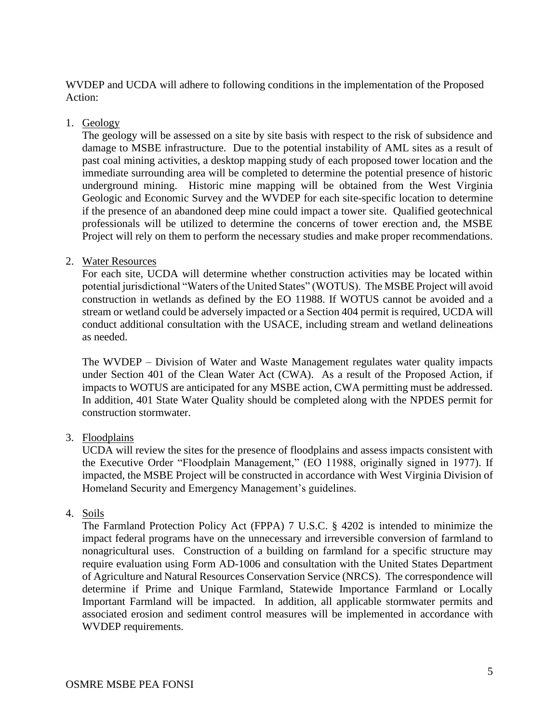WVDEP and UCDA will adhere to following conditions in the implementation of the Proposed Action:

1. Geology

The geology will be assessed on a site by site basis with respect to the risk of subsidence and damage to MSBE infrastructure. Due to the potential instability of AML sites as a result of past coal mining activities, a desktop mapping study of each proposed tower location and the immediate surrounding area will be completed to determine the potential presence of historic underground mining. Historic mine mapping will be obtained from the West Virginia Geologic and Economic Survey and the WVDEP for each site-specific location to determine if the presence of an abandoned deep mine could impact a tower site. Qualified geotechnical professionals will be utilized to determine the concerns of tower erection and, the MSBE Project will rely on them to perform the necessary studies and make proper recommendations.

#### 2. Water Resources

For each site, UCDA will determine whether construction activities may be located within potential jurisdictional "Waters of the United States" (WOTUS). The MSBE Project will avoid construction in wetlands as defined by the EO 11988. If WOTUS cannot be avoided and a stream or wetland could be adversely impacted or a Section 404 permit is required, UCDA will conduct additional consultation with the USACE, including stream and wetland delineations as needed.

The WVDEP – Division of Water and Waste Management regulates water quality impacts under Section 401 of the Clean Water Act (CWA). As a result of the Proposed Action, if impacts to WOTUS are anticipated for any MSBE action, CWA permitting must be addressed. In addition, 401 State Water Quality should be completed along with the NPDES permit for construction stormwater.

#### 3. Floodplains

UCDA will review the sites for the presence of floodplains and assess impacts consistent with the Executive Order "Floodplain Management," (EO 11988, originally signed in 1977). If impacted, the MSBE Project will be constructed in accordance with West Virginia Division of Homeland Security and Emergency Management's guidelines.

#### 4. Soils

The Farmland Protection Policy Act (FPPA) 7 U.S.C. § 4202 is intended to minimize the impact federal programs have on the unnecessary and irreversible conversion of farmland to nonagricultural uses. Construction of a building on farmland for a specific structure may require evaluation using Form AD-1006 and consultation with the United States Department of Agriculture and Natural Resources Conservation Service (NRCS). The correspondence will determine if Prime and Unique Farmland, Statewide Importance Farmland or Locally Important Farmland will be impacted. In addition, all applicable stormwater permits and associated erosion and sediment control measures will be implemented in accordance with WVDEP requirements.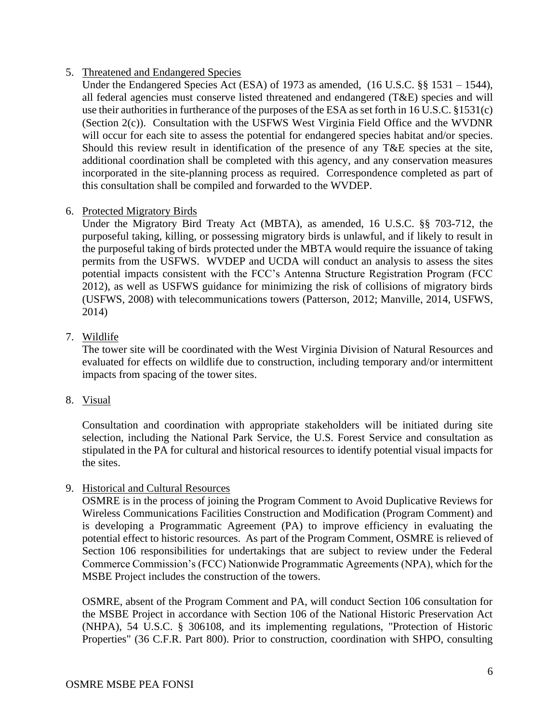#### 5. Threatened and Endangered Species

Under the Endangered Species Act (ESA) of 1973 as amended, (16 U.S.C. §§ 1531 – 1544), all federal agencies must conserve listed threatened and endangered (T&E) species and will use their authorities in furtherance of the purposes of the ESA as set forth in 16 U.S.C. §1531(c) (Section 2(c)). Consultation with the USFWS West Virginia Field Office and the WVDNR will occur for each site to assess the potential for endangered species habitat and/or species. Should this review result in identification of the presence of any T&E species at the site, additional coordination shall be completed with this agency, and any conservation measures incorporated in the site-planning process as required. Correspondence completed as part of this consultation shall be compiled and forwarded to the WVDEP.

#### 6. Protected Migratory Birds

Under the Migratory Bird Treaty Act (MBTA), as amended, 16 U.S.C. §§ 703-712, the purposeful taking, killing, or possessing migratory birds is unlawful, and if likely to result in the purposeful taking of birds protected under the MBTA would require the issuance of taking permits from the USFWS. WVDEP and UCDA will conduct an analysis to assess the sites potential impacts consistent with the FCC's Antenna Structure Registration Program (FCC 2012), as well as USFWS guidance for minimizing the risk of collisions of migratory birds (USFWS, 2008) with telecommunications towers (Patterson, 2012; Manville, 2014, USFWS, 2014)

#### 7. Wildlife

The tower site will be coordinated with the West Virginia Division of Natural Resources and evaluated for effects on wildlife due to construction, including temporary and/or intermittent impacts from spacing of the tower sites.

8. Visual

Consultation and coordination with appropriate stakeholders will be initiated during site selection, including the National Park Service, the U.S. Forest Service and consultation as stipulated in the PA for cultural and historical resources to identify potential visual impacts for the sites.

9. Historical and Cultural Resources

OSMRE is in the process of joining the Program Comment to Avoid Duplicative Reviews for Wireless Communications Facilities Construction and Modification (Program Comment) and is developing a Programmatic Agreement (PA) to improve efficiency in evaluating the potential effect to historic resources. As part of the Program Comment, OSMRE is relieved of Section 106 responsibilities for undertakings that are subject to review under the Federal Commerce Commission's (FCC) Nationwide Programmatic Agreements (NPA), which for the MSBE Project includes the construction of the towers.

OSMRE, absent of the Program Comment and PA, will conduct Section 106 consultation for the MSBE Project in accordance with Section 106 of the National Historic Preservation Act (NHPA), 54 U.S.C. § 306108, and its implementing regulations, "Protection of Historic Properties" (36 C.F.R. Part 800). Prior to construction, coordination with SHPO, consulting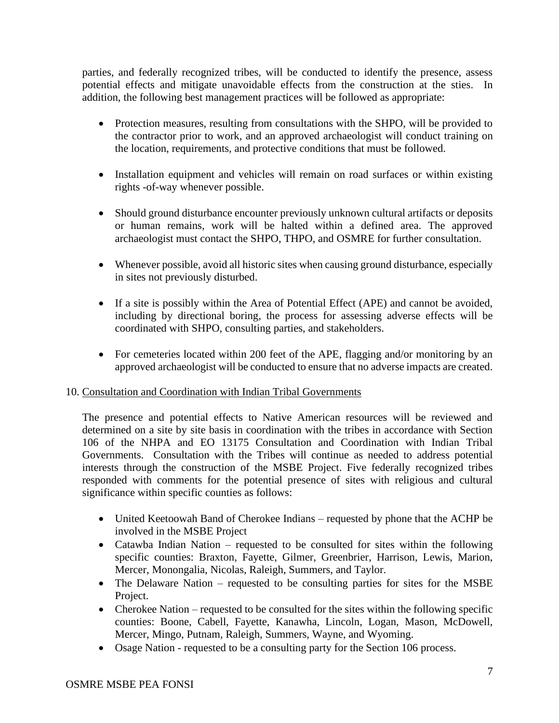parties, and federally recognized tribes, will be conducted to identify the presence, assess potential effects and mitigate unavoidable effects from the construction at the sties. In addition, the following best management practices will be followed as appropriate:

- Protection measures, resulting from consultations with the SHPO, will be provided to the contractor prior to work, and an approved archaeologist will conduct training on the location, requirements, and protective conditions that must be followed.
- Installation equipment and vehicles will remain on road surfaces or within existing rights -of-way whenever possible.
- Should ground disturbance encounter previously unknown cultural artifacts or deposits or human remains, work will be halted within a defined area. The approved archaeologist must contact the SHPO, THPO, and OSMRE for further consultation.
- Whenever possible, avoid all historic sites when causing ground disturbance, especially in sites not previously disturbed.
- If a site is possibly within the Area of Potential Effect (APE) and cannot be avoided, including by directional boring, the process for assessing adverse effects will be coordinated with SHPO, consulting parties, and stakeholders.
- For cemeteries located within 200 feet of the APE, flagging and/or monitoring by an approved archaeologist will be conducted to ensure that no adverse impacts are created.

#### 10. Consultation and Coordination with Indian Tribal Governments

The presence and potential effects to Native American resources will be reviewed and determined on a site by site basis in coordination with the tribes in accordance with Section 106 of the NHPA and EO 13175 Consultation and Coordination with Indian Tribal Governments. Consultation with the Tribes will continue as needed to address potential interests through the construction of the MSBE Project. Five federally recognized tribes responded with comments for the potential presence of sites with religious and cultural significance within specific counties as follows:

- United Keetoowah Band of Cherokee Indians requested by phone that the ACHP be involved in the MSBE Project
- Catawba Indian Nation requested to be consulted for sites within the following specific counties: Braxton, Fayette, Gilmer, Greenbrier, Harrison, Lewis, Marion, Mercer, Monongalia, Nicolas, Raleigh, Summers, and Taylor.
- The Delaware Nation requested to be consulting parties for sites for the MSBE Project.
- Cherokee Nation requested to be consulted for the sites within the following specific counties: Boone, Cabell, Fayette, Kanawha, Lincoln, Logan, Mason, McDowell, Mercer, Mingo, Putnam, Raleigh, Summers, Wayne, and Wyoming.
- Osage Nation requested to be a consulting party for the Section 106 process.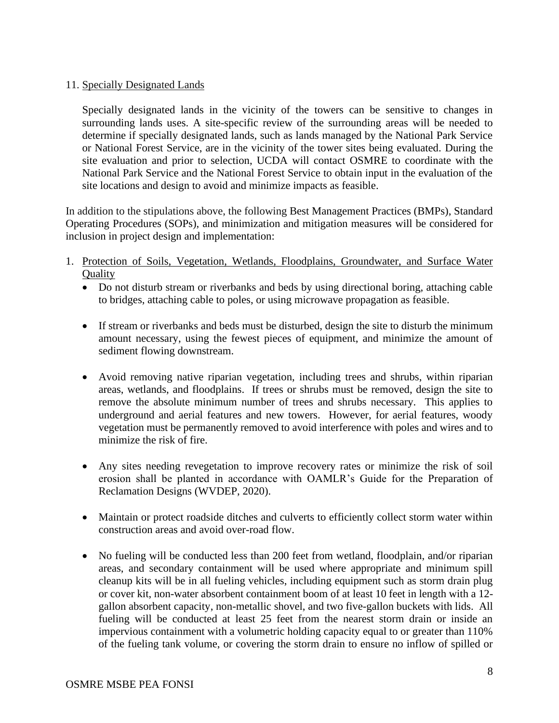#### 11. Specially Designated Lands

Specially designated lands in the vicinity of the towers can be sensitive to changes in surrounding lands uses. A site-specific review of the surrounding areas will be needed to determine if specially designated lands, such as lands managed by the National Park Service or National Forest Service, are in the vicinity of the tower sites being evaluated. During the site evaluation and prior to selection, UCDA will contact OSMRE to coordinate with the National Park Service and the National Forest Service to obtain input in the evaluation of the site locations and design to avoid and minimize impacts as feasible.

In addition to the stipulations above, the following Best Management Practices (BMPs), Standard Operating Procedures (SOPs), and minimization and mitigation measures will be considered for inclusion in project design and implementation:

- 1. Protection of Soils, Vegetation, Wetlands, Floodplains, Groundwater, and Surface Water **Ouality** 
	- Do not disturb stream or riverbanks and beds by using directional boring, attaching cable to bridges, attaching cable to poles, or using microwave propagation as feasible.
	- If stream or riverbanks and beds must be disturbed, design the site to disturb the minimum amount necessary, using the fewest pieces of equipment, and minimize the amount of sediment flowing downstream.
	- Avoid removing native riparian vegetation, including trees and shrubs, within riparian areas, wetlands, and floodplains. If trees or shrubs must be removed, design the site to remove the absolute minimum number of trees and shrubs necessary. This applies to underground and aerial features and new towers. However, for aerial features, woody vegetation must be permanently removed to avoid interference with poles and wires and to minimize the risk of fire.
	- Any sites needing revegetation to improve recovery rates or minimize the risk of soil erosion shall be planted in accordance with OAMLR's Guide for the Preparation of Reclamation Designs (WVDEP, 2020).
	- Maintain or protect roadside ditches and culverts to efficiently collect storm water within construction areas and avoid over-road flow.
	- No fueling will be conducted less than 200 feet from wetland, floodplain, and/or riparian areas, and secondary containment will be used where appropriate and minimum spill cleanup kits will be in all fueling vehicles, including equipment such as storm drain plug or cover kit, non-water absorbent containment boom of at least 10 feet in length with a 12 gallon absorbent capacity, non-metallic shovel, and two five-gallon buckets with lids. All fueling will be conducted at least 25 feet from the nearest storm drain or inside an impervious containment with a volumetric holding capacity equal to or greater than 110% of the fueling tank volume, or covering the storm drain to ensure no inflow of spilled or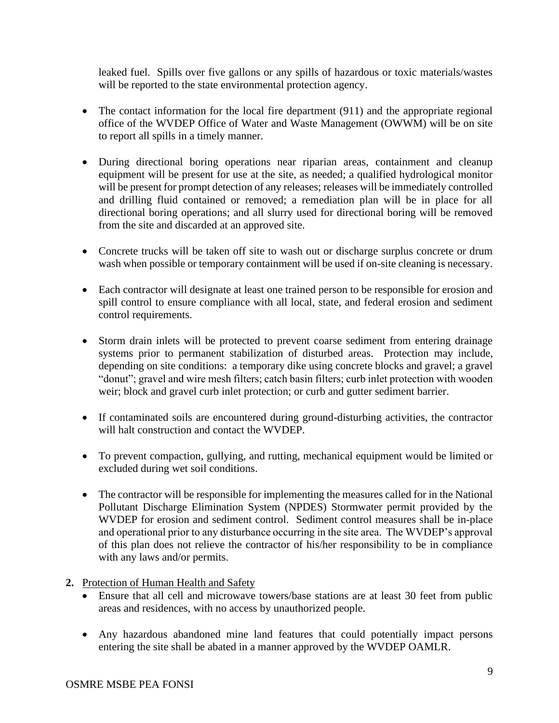leaked fuel. Spills over five gallons or any spills of hazardous or toxic materials/wastes will be reported to the state environmental protection agency.

- The contact information for the local fire department (911) and the appropriate regional office of the WVDEP Office of Water and Waste Management (OWWM) will be on site to report all spills in a timely manner.
- During directional boring operations near riparian areas, containment and cleanup equipment will be present for use at the site, as needed; a qualified hydrological monitor will be present for prompt detection of any releases; releases will be immediately controlled and drilling fluid contained or removed; a remediation plan will be in place for all directional boring operations; and all slurry used for directional boring will be removed from the site and discarded at an approved site.
- Concrete trucks will be taken off site to wash out or discharge surplus concrete or drum wash when possible or temporary containment will be used if on-site cleaning is necessary.
- Each contractor will designate at least one trained person to be responsible for erosion and spill control to ensure compliance with all local, state, and federal erosion and sediment control requirements.
- Storm drain inlets will be protected to prevent coarse sediment from entering drainage systems prior to permanent stabilization of disturbed areas. Protection may include, depending on site conditions: a temporary dike using concrete blocks and gravel; a gravel "donut"; gravel and wire mesh filters; catch basin filters; curb inlet protection with wooden weir; block and gravel curb inlet protection; or curb and gutter sediment barrier.
- If contaminated soils are encountered during ground-disturbing activities, the contractor will halt construction and contact the WVDEP.
- To prevent compaction, gullying, and rutting, mechanical equipment would be limited or excluded during wet soil conditions.
- The contractor will be responsible for implementing the measures called for in the National Pollutant Discharge Elimination System (NPDES) Stormwater permit provided by the WVDEP for erosion and sediment control. Sediment control measures shall be in-place and operational prior to any disturbance occurring in the site area. The WVDEP's approval of this plan does not relieve the contractor of his/her responsibility to be in compliance with any laws and/or permits.
- **2.** Protection of Human Health and Safety
	- Ensure that all cell and microwave towers/base stations are at least 30 feet from public areas and residences, with no access by unauthorized people.
	- Any hazardous abandoned mine land features that could potentially impact persons entering the site shall be abated in a manner approved by the WVDEP OAMLR.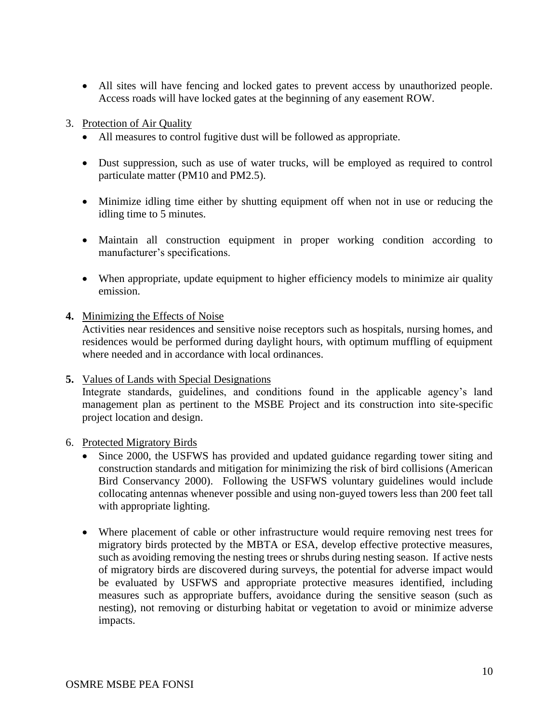- All sites will have fencing and locked gates to prevent access by unauthorized people. Access roads will have locked gates at the beginning of any easement ROW.
- 3. Protection of Air Quality
	- All measures to control fugitive dust will be followed as appropriate.
	- Dust suppression, such as use of water trucks, will be employed as required to control particulate matter (PM10 and PM2.5).
	- Minimize idling time either by shutting equipment off when not in use or reducing the idling time to 5 minutes.
	- Maintain all construction equipment in proper working condition according to manufacturer's specifications.
	- When appropriate, update equipment to higher efficiency models to minimize air quality emission.
- **4.** Minimizing the Effects of Noise

Activities near residences and sensitive noise receptors such as hospitals, nursing homes, and residences would be performed during daylight hours, with optimum muffling of equipment where needed and in accordance with local ordinances.

**5.** Values of Lands with Special Designations

Integrate standards, guidelines, and conditions found in the applicable agency's land management plan as pertinent to the MSBE Project and its construction into site-specific project location and design.

6. Protected Migratory Birds

- Since 2000, the USFWS has provided and updated guidance regarding tower siting and construction standards and mitigation for minimizing the risk of bird collisions (American Bird Conservancy 2000). Following the USFWS voluntary guidelines would include collocating antennas whenever possible and using non-guyed towers less than 200 feet tall with appropriate lighting.
- Where placement of cable or other infrastructure would require removing nest trees for migratory birds protected by the MBTA or ESA, develop effective protective measures, such as avoiding removing the nesting trees or shrubs during nesting season. If active nests of migratory birds are discovered during surveys, the potential for adverse impact would be evaluated by USFWS and appropriate protective measures identified, including measures such as appropriate buffers, avoidance during the sensitive season (such as nesting), not removing or disturbing habitat or vegetation to avoid or minimize adverse impacts.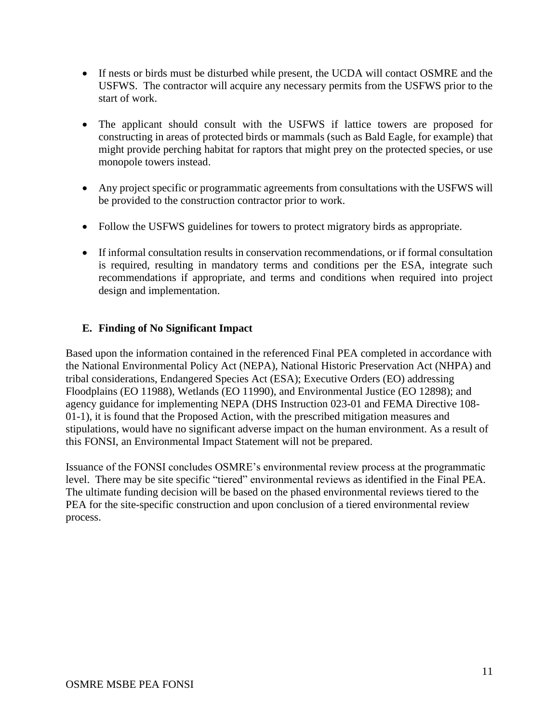- If nests or birds must be disturbed while present, the UCDA will contact OSMRE and the USFWS. The contractor will acquire any necessary permits from the USFWS prior to the start of work.
- The applicant should consult with the USFWS if lattice towers are proposed for constructing in areas of protected birds or mammals (such as Bald Eagle, for example) that might provide perching habitat for raptors that might prey on the protected species, or use monopole towers instead.
- Any project specific or programmatic agreements from consultations with the USFWS will be provided to the construction contractor prior to work.
- Follow the USFWS guidelines for towers to protect migratory birds as appropriate.
- If informal consultation results in conservation recommendations, or if formal consultation is required, resulting in mandatory terms and conditions per the ESA, integrate such recommendations if appropriate, and terms and conditions when required into project design and implementation.

## **E. Finding of No Significant Impact**

Based upon the information contained in the referenced Final PEA completed in accordance with the National Environmental Policy Act (NEPA), National Historic Preservation Act (NHPA) and tribal considerations, Endangered Species Act (ESA); Executive Orders (EO) addressing Floodplains (EO 11988), Wetlands (EO 11990), and Environmental Justice (EO 12898); and agency guidance for implementing NEPA (DHS Instruction 023-01 and FEMA Directive 108- 01-1), it is found that the Proposed Action, with the prescribed mitigation measures and stipulations, would have no significant adverse impact on the human environment. As a result of this FONSI, an Environmental Impact Statement will not be prepared.

Issuance of the FONSI concludes OSMRE's environmental review process at the programmatic level. There may be site specific "tiered" environmental reviews as identified in the Final PEA. The ultimate funding decision will be based on the phased environmental reviews tiered to the PEA for the site-specific construction and upon conclusion of a tiered environmental review process.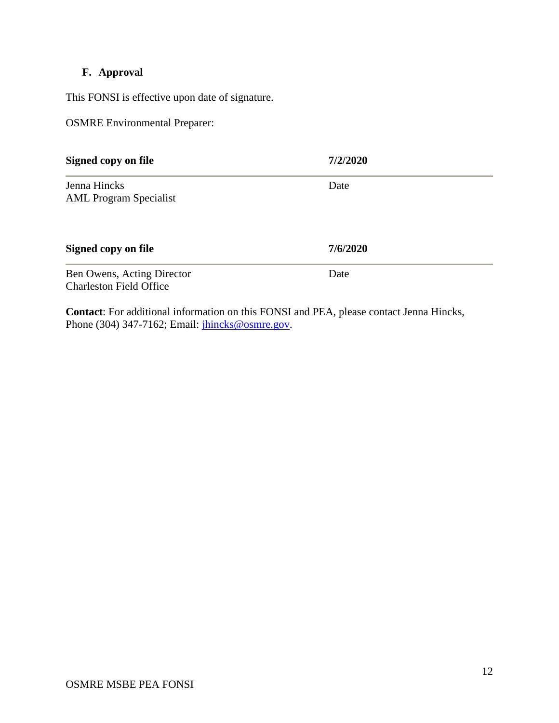# **F. Approval**

This FONSI is effective upon date of signature.

OSMRE Environmental Preparer:

| Signed copy on file                                          | 7/2/2020 |
|--------------------------------------------------------------|----------|
| Jenna Hincks<br><b>AML Program Specialist</b>                | Date     |
| Signed copy on file                                          | 7/6/2020 |
| Ben Owens, Acting Director<br><b>Charleston Field Office</b> | Date     |

**Contact**: For additional information on this FONSI and PEA, please contact Jenna Hincks, Phone (304) 347-7162; Email: *jhincks@osmre.gov.*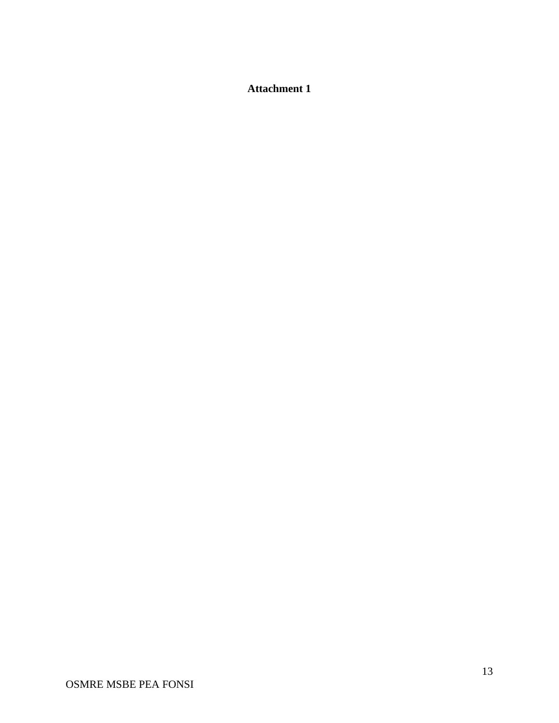# **Attachment 1**